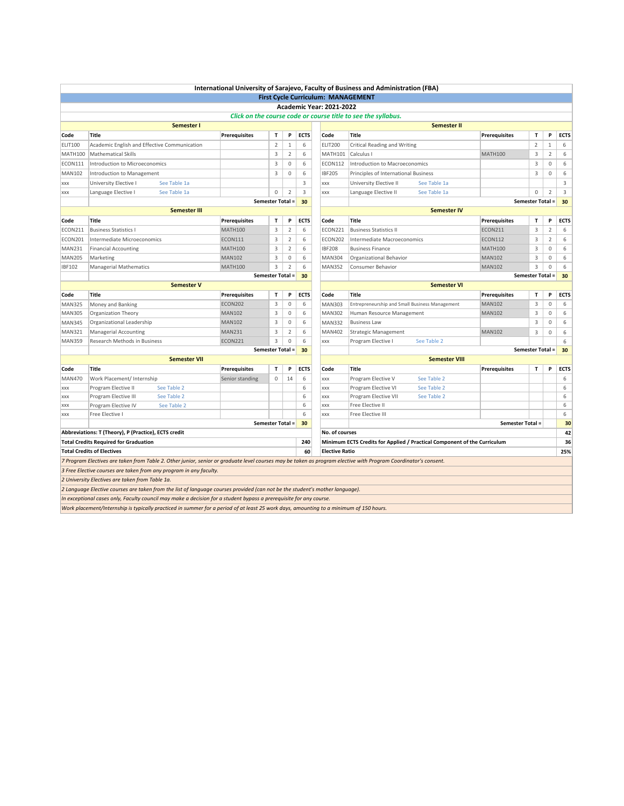|                  |                                                      |                                                                                                                                        |                      |                         |                |             |                                           | International University of Sarajevo, Faculty of Business and Administration (FBA)                                                                              |                         |                         |                |             |
|------------------|------------------------------------------------------|----------------------------------------------------------------------------------------------------------------------------------------|----------------------|-------------------------|----------------|-------------|-------------------------------------------|-----------------------------------------------------------------------------------------------------------------------------------------------------------------|-------------------------|-------------------------|----------------|-------------|
|                  |                                                      |                                                                                                                                        |                      |                         |                |             | <b>First Cycle Curriculum: MANAGEMENT</b> |                                                                                                                                                                 |                         |                         |                |             |
|                  |                                                      |                                                                                                                                        |                      |                         |                |             | <b>Academic Year: 2021-2022</b>           |                                                                                                                                                                 |                         |                         |                |             |
|                  |                                                      |                                                                                                                                        |                      |                         |                |             |                                           | Click on the course code or course title to see the syllabus.                                                                                                   |                         |                         |                |             |
|                  |                                                      | Semester I                                                                                                                             |                      |                         |                |             |                                           | <b>Semester II</b>                                                                                                                                              |                         |                         |                |             |
| Code             | <b>Title</b>                                         |                                                                                                                                        | <b>Prerequisites</b> | T                       | P              | <b>ECTS</b> | Code                                      | <b>Title</b>                                                                                                                                                    | <b>Prerequisites</b>    | т                       | P              | <b>ECTS</b> |
| <b>ELIT100</b>   | Academic English and Effective Communication         |                                                                                                                                        |                      | $\overline{2}$          | $\mathbf{1}$   | 6           | <b>ELIT200</b>                            | Critical Reading and Writing                                                                                                                                    |                         | $\overline{2}$          | $\mathbf{1}$   | 6           |
| MATH100          | <b>Mathematical Skills</b>                           |                                                                                                                                        |                      | 3                       | $\overline{2}$ | 6           | <b>MATH101</b>                            | Calculus I                                                                                                                                                      | <b>MATH100</b>          | 3                       | $\overline{2}$ | 6           |
| <b>ECON111</b>   | <b>Introduction to Microeconomics</b>                |                                                                                                                                        |                      | 3                       | $\mathbf 0$    | 6           | <b>ECON112</b>                            | <b>Introduction to Macroeconomics</b>                                                                                                                           |                         | 3                       | 0              | 6           |
| <b>MAN102</b>    | Introduction to Management                           |                                                                                                                                        |                      | 3                       | $\mathbf 0$    | 6           | <b>IBF205</b>                             | Principles of International Business                                                                                                                            |                         | 3                       | $\mathbf 0$    | 6           |
| <b>XXX</b>       | University Elective I                                | See Table 1a                                                                                                                           |                      |                         |                | 3           | XXX                                       | University Elective II<br>See Table 1a                                                                                                                          |                         |                         |                | 3           |
| <b>XXX</b>       | Language Elective I                                  | See Table 1a                                                                                                                           |                      | 0                       | $\overline{2}$ | 3           | XXX                                       | Language Elective II<br>See Table 1a                                                                                                                            |                         | 0                       | $\overline{2}$ | 3           |
|                  |                                                      |                                                                                                                                        |                      | <b>Semester Total =</b> |                | 30          |                                           |                                                                                                                                                                 |                         | <b>Semester Total =</b> |                | 30          |
|                  |                                                      | <b>Semester III</b>                                                                                                                    |                      |                         |                |             |                                           | <b>Semester IV</b>                                                                                                                                              |                         |                         |                |             |
| Code             | Title                                                |                                                                                                                                        | <b>Prerequisites</b> | T                       | P              | <b>ECTS</b> | Code                                      | <b>Title</b>                                                                                                                                                    | <b>Prerequisites</b>    | T                       | P              | <b>ECTS</b> |
| ECON211          | <b>Business Statistics I</b>                         |                                                                                                                                        | <b>MATH100</b>       | 3                       | $\overline{2}$ | 6           | ECON221                                   | <b>Business Statistics II</b>                                                                                                                                   | <b>ECON211</b>          | 3                       | $\overline{2}$ | 6           |
| ECON201          | Intermediate Microeconomics                          |                                                                                                                                        | <b>ECON111</b>       | 3                       | $\overline{2}$ | 6           | ECON202                                   | Intermediate Macroeconomics                                                                                                                                     | <b>ECON112</b>          | 3                       | $\overline{2}$ | 6           |
| <b>MAN231</b>    | <b>Financial Accounting</b>                          |                                                                                                                                        | <b>MATH100</b>       | 3                       | 2              | 6           | <b>IBF208</b>                             | <b>Business Finance</b>                                                                                                                                         | <b>MATH100</b>          | 3                       | $\mathbf 0$    | 6           |
| <b>MAN205</b>    | Marketing                                            |                                                                                                                                        | <b>MAN102</b>        | 3                       | $\mathbf 0$    | 6           | <b>MAN304</b>                             | Organizational Behavior                                                                                                                                         | <b>MAN102</b>           | 3                       | $\mathbf 0$    | 6           |
| <b>IBF102</b>    | <b>Managerial Mathematics</b>                        |                                                                                                                                        | <b>MATH100</b>       | 3                       | $\overline{2}$ | 6           | <b>MAN352</b>                             | Consumer Behavior                                                                                                                                               | <b>MAN102</b>           | 3                       | $\mathbf 0$    | 6           |
| Semester Total = |                                                      |                                                                                                                                        |                      |                         | 30             |             | <b>Semester Total =</b><br>30             |                                                                                                                                                                 |                         |                         |                |             |
|                  |                                                      | <b>Semester V</b>                                                                                                                      |                      |                         |                |             |                                           | <b>Semester VI</b>                                                                                                                                              |                         |                         |                |             |
| Code             | <b>Title</b>                                         |                                                                                                                                        | <b>Prerequisites</b> | T                       | P              | <b>ECTS</b> | Code                                      | Title                                                                                                                                                           | <b>Prerequisites</b>    | $\mathbf{T}$            | P              | <b>ECTS</b> |
| <b>MAN325</b>    | Money and Banking                                    |                                                                                                                                        | <b>ECON202</b>       | 3                       | $\mathbf 0$    | 6           | <b>MAN303</b>                             | Entrepreneurship and Small Business Management                                                                                                                  | <b>MAN102</b>           | 3                       | 0              | 6           |
| <b>MAN305</b>    | Organization Theory                                  |                                                                                                                                        | <b>MAN102</b>        | $\overline{3}$          | $\mathbf{0}$   | 6           | <b>MAN302</b>                             | Human Resource Management                                                                                                                                       | <b>MAN102</b>           | 3                       | $\mathbf{0}$   | 6           |
| <b>MAN345</b>    | Organizational Leadership                            |                                                                                                                                        | <b>MAN102</b>        | 3                       | $\mathbb O$    | 6           | <b>MAN332</b>                             | <b>Business Law</b>                                                                                                                                             |                         | 3                       | $\mathbf 0$    | 6           |
| <b>MAN321</b>    | <b>Managerial Accounting</b>                         |                                                                                                                                        | <b>MAN231</b>        | 3                       | $\overline{2}$ | 6           | <b>MAN402</b>                             | <b>Strategic Management</b>                                                                                                                                     | <b>MAN102</b>           | 3                       | 0              | 6           |
| <b>MAN359</b>    | Research Methods in Business                         |                                                                                                                                        | ECON221              | 3                       | $\mathbf 0$    | 6           | XXX                                       | See Table 2<br>Program Elective I                                                                                                                               |                         |                         |                | 6           |
|                  |                                                      |                                                                                                                                        |                      | <b>Semester Total =</b> |                | 30          |                                           |                                                                                                                                                                 |                         | Semester Total =        |                | 30          |
|                  |                                                      | <b>Semester VII</b>                                                                                                                    |                      |                         |                |             |                                           | <b>Semester VIII</b>                                                                                                                                            |                         |                         |                |             |
| Code             | Title                                                |                                                                                                                                        | <b>Prerequisites</b> | $\mathbf{T}$            | P              | <b>ECTS</b> | Code                                      | Title                                                                                                                                                           | Prerequisites           | T                       | P              | <b>ECTS</b> |
| <b>MAN470</b>    | Work Placement/ Internship                           |                                                                                                                                        | Senior standing      | 0                       | 14             | 6           | XXX                                       | Program Elective V<br>See Table 2                                                                                                                               |                         |                         |                | 6           |
| <b>XXX</b>       | Program Elective II                                  | See Table 2                                                                                                                            |                      |                         |                | 6           | XXX                                       | Program Elective VI<br>See Table 2                                                                                                                              |                         |                         |                | 6           |
| XXX              | Program Elective III                                 | See Table 2                                                                                                                            |                      |                         |                | 6           | XXX                                       | See Table 2<br>Program Elective VII                                                                                                                             |                         |                         |                | 6           |
| XXX              | Program Elective IV                                  | See Table 2                                                                                                                            |                      |                         |                | 6           | XXX                                       | Free Elective II                                                                                                                                                |                         |                         |                | 6           |
| <b>XXX</b>       | Free Elective I                                      |                                                                                                                                        |                      |                         |                | 6           | XXX                                       | Free Elective III                                                                                                                                               |                         |                         |                | 6           |
|                  |                                                      |                                                                                                                                        |                      | <b>Semester Total =</b> |                | 30          |                                           |                                                                                                                                                                 | <b>Semester Total =</b> |                         |                | 30          |
|                  | Abbreviations: T (Theory), P (Practice), ECTS credit |                                                                                                                                        |                      |                         |                |             | No. of courses                            |                                                                                                                                                                 |                         |                         |                | 42          |
|                  | <b>Total Credits Required for Graduation</b>         |                                                                                                                                        |                      |                         |                | 240         |                                           | Minimum ECTS Credits for Applied / Practical Component of the Curriculum                                                                                        |                         |                         |                | 36          |
|                  | <b>Total Credits of Electives</b>                    |                                                                                                                                        |                      |                         |                | 60          | <b>Elective Ratio</b>                     |                                                                                                                                                                 |                         |                         |                | 25%         |
|                  |                                                      |                                                                                                                                        |                      |                         |                |             |                                           | 7 Program Electives are taken from Table 2. Other junior, senior or graduate level courses may be taken as program elective with Program Coordinator's consent. |                         |                         |                |             |
|                  |                                                      | 3 Free Elective courses are taken from any program in any faculty.                                                                     |                      |                         |                |             |                                           |                                                                                                                                                                 |                         |                         |                |             |
|                  | 2 University Electives are taken from Table 1a.      |                                                                                                                                        |                      |                         |                |             |                                           |                                                                                                                                                                 |                         |                         |                |             |
|                  |                                                      | 2 Language Elective courses are taken from the list of language courses provided (can not be the student's mother language).           |                      |                         |                |             |                                           |                                                                                                                                                                 |                         |                         |                |             |
|                  |                                                      | In exceptional cases only, Faculty council may make a decision for a student bypass a prerequisite for any course.                     |                      |                         |                |             |                                           |                                                                                                                                                                 |                         |                         |                |             |
|                  |                                                      | Work placement/Internship is typically practiced in summer for a period of at least 25 work days, amounting to a minimum of 150 hours. |                      |                         |                |             |                                           |                                                                                                                                                                 |                         |                         |                |             |